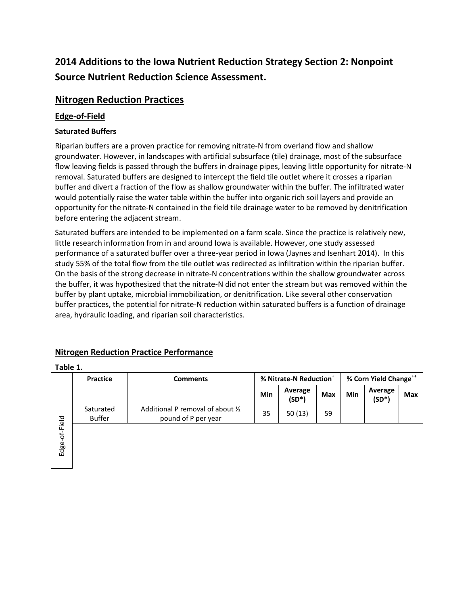# **2014 Additions to the Iowa Nutrient Reduction Strategy Section 2: Nonpoint Source Nutrient Reduction Science Assessment.**

## **Nitrogen Reduction Practices**

### **Edge-of-Field**

#### **Saturated Buffers**

Riparian buffers are a proven practice for removing nitrate-N from overland flow and shallow groundwater. However, in landscapes with artificial subsurface (tile) drainage, most of the subsurface flow leaving fields is passed through the buffers in drainage pipes, leaving little opportunity for nitrate-N removal. Saturated buffers are designed to intercept the field tile outlet where it crosses a riparian buffer and divert a fraction of the flow as shallow groundwater within the buffer. The infiltrated water would potentially raise the water table within the buffer into organic rich soil layers and provide an opportunity for the nitrate-N contained in the field tile drainage water to be removed by denitrification before entering the adjacent stream.

Saturated buffers are intended to be implemented on a farm scale. Since the practice is relatively new, little research information from in and around Iowa is available. However, one study assessed performance of a saturated buffer over a three-year period in Iowa (Jaynes and Isenhart 2014). In this study 55% of the total flow from the tile outlet was redirected as infiltration within the riparian buffer. On the basis of the strong decrease in nitrate-N concentrations within the shallow groundwater across the buffer, it was hypothesized that the nitrate-N did not enter the stream but was removed within the buffer by plant uptake, microbial immobilization, or denitrification. Like several other conservation buffer practices, the potential for nitrate-N reduction within saturated buffers is a function of drainage area, hydraulic loading, and riparian soil characteristics.

### **Nitrogen Reduction Practice Performance**

#### **Table 1.**

|               | <b>Practice</b>            | <b>Comments</b>                                          | % Nitrate-N Reduction <sup>+</sup> |                     |            | % Corn Yield Change <sup>++</sup> |                     |            |
|---------------|----------------------------|----------------------------------------------------------|------------------------------------|---------------------|------------|-----------------------------------|---------------------|------------|
|               |                            |                                                          | Min                                | Average<br>$(SD^*)$ | <b>Max</b> | Min                               | Average<br>$(SD^*)$ | <b>Max</b> |
| Edge-of-Field | Saturated<br><b>Buffer</b> | Additional P removal of about 1/2<br>pound of P per year | 35                                 | 50(13)              | 59         |                                   |                     |            |
|               |                            |                                                          |                                    |                     |            |                                   |                     |            |